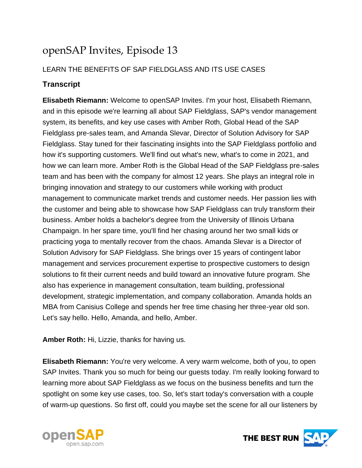# openSAP Invites, Episode 13

## LEARN THE BENEFITS OF SAP FIELDGLASS AND ITS USE CASES

# **Transcript**

**Elisabeth Riemann:** Welcome to openSAP Invites. I'm your host, Elisabeth Riemann, and in this episode we're learning all about SAP Fieldglass, SAP's vendor management system, its benefits, and key use cases with Amber Roth, Global Head of the SAP Fieldglass pre-sales team, and Amanda Slevar, Director of Solution Advisory for SAP Fieldglass. Stay tuned for their fascinating insights into the SAP Fieldglass portfolio and how it's supporting customers. We'll find out what's new, what's to come in 2021, and how we can learn more. Amber Roth is the Global Head of the SAP Fieldglass pre-sales team and has been with the company for almost 12 years. She plays an integral role in bringing innovation and strategy to our customers while working with product management to communicate market trends and customer needs. Her passion lies with the customer and being able to showcase how SAP Fieldglass can truly transform their business. Amber holds a bachelor's degree from the University of Illinois Urbana Champaign. In her spare time, you'll find her chasing around her two small kids or practicing yoga to mentally recover from the chaos. Amanda Slevar is a Director of Solution Advisory for SAP Fieldglass. She brings over 15 years of contingent labor management and services procurement expertise to prospective customers to design solutions to fit their current needs and build toward an innovative future program. She also has experience in management consultation, team building, professional development, strategic implementation, and company collaboration. Amanda holds an MBA from Canisius College and spends her free time chasing her three-year old son. Let's say hello. Hello, Amanda, and hello, Amber.

**Amber Roth:** Hi, Lizzie, thanks for having us.

**Elisabeth Riemann:** You're very welcome. A very warm welcome, both of you, to open SAP Invites. Thank you so much for being our guests today. I'm really looking forward to learning more about SAP Fieldglass as we focus on the business benefits and turn the spotlight on some key use cases, too. So, let's start today's conversation with a couple of warm-up questions. So first off, could you maybe set the scene for all our listeners by



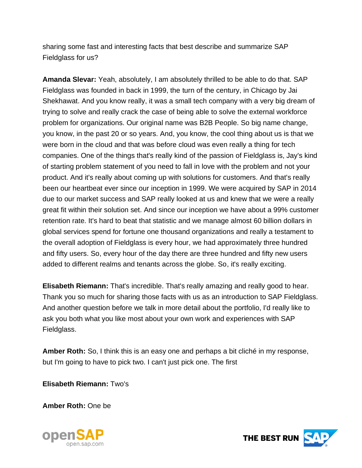sharing some fast and interesting facts that best describe and summarize SAP Fieldglass for us?

**Amanda Slevar:** Yeah, absolutely, I am absolutely thrilled to be able to do that. SAP Fieldglass was founded in back in 1999, the turn of the century, in Chicago by Jai Shekhawat. And you know really, it was a small tech company with a very big dream of trying to solve and really crack the case of being able to solve the external workforce problem for organizations. Our original name was B2B People. So big name change, you know, in the past 20 or so years. And, you know, the cool thing about us is that we were born in the cloud and that was before cloud was even really a thing for tech companies. One of the things that's really kind of the passion of Fieldglass is, Jay's kind of starting problem statement of you need to fall in love with the problem and not your product. And it's really about coming up with solutions for customers. And that's really been our heartbeat ever since our inception in 1999. We were acquired by SAP in 2014 due to our market success and SAP really looked at us and knew that we were a really great fit within their solution set. And since our inception we have about a 99% customer retention rate. It's hard to beat that statistic and we manage almost 60 billion dollars in global services spend for fortune one thousand organizations and really a testament to the overall adoption of Fieldglass is every hour, we had approximately three hundred and fifty users. So, every hour of the day there are three hundred and fifty new users added to different realms and tenants across the globe. So, it's really exciting.

**Elisabeth Riemann:** That's incredible. That's really amazing and really good to hear. Thank you so much for sharing those facts with us as an introduction to SAP Fieldglass. And another question before we talk in more detail about the portfolio, I'd really like to ask you both what you like most about your own work and experiences with SAP Fieldglass.

**Amber Roth:** So, I think this is an easy one and perhaps a bit cliché in my response, but I'm going to have to pick two. I can't just pick one. The first

**Elisabeth Riemann:** Two's

**Amber Roth:** One be



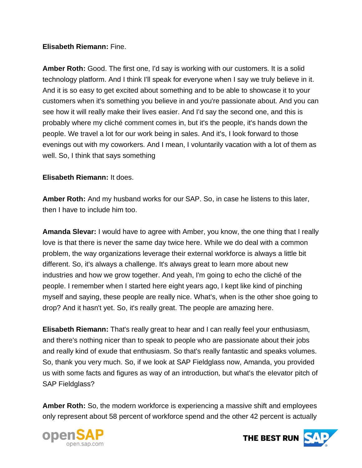### **Elisabeth Riemann:** Fine.

**Amber Roth:** Good. The first one, I'd say is working with our customers. It is a solid technology platform. And I think I'll speak for everyone when I say we truly believe in it. And it is so easy to get excited about something and to be able to showcase it to your customers when it's something you believe in and you're passionate about. And you can see how it will really make their lives easier. And I'd say the second one, and this is probably where my cliché comment comes in, but it's the people, it's hands down the people. We travel a lot for our work being in sales. And it's, I look forward to those evenings out with my coworkers. And I mean, I voluntarily vacation with a lot of them as well. So, I think that says something

## **Elisabeth Riemann:** It does.

**Amber Roth:** And my husband works for our SAP. So, in case he listens to this later, then I have to include him too.

**Amanda Slevar:** I would have to agree with Amber, you know, the one thing that I really love is that there is never the same day twice here. While we do deal with a common problem, the way organizations leverage their external workforce is always a little bit different. So, it's always a challenge. It's always great to learn more about new industries and how we grow together. And yeah, I'm going to echo the cliché of the people. I remember when I started here eight years ago, I kept like kind of pinching myself and saying, these people are really nice. What's, when is the other shoe going to drop? And it hasn't yet. So, it's really great. The people are amazing here.

**Elisabeth Riemann:** That's really great to hear and I can really feel your enthusiasm, and there's nothing nicer than to speak to people who are passionate about their jobs and really kind of exude that enthusiasm. So that's really fantastic and speaks volumes. So, thank you very much. So, if we look at SAP Fieldglass now, Amanda, you provided us with some facts and figures as way of an introduction, but what's the elevator pitch of SAP Fieldglass?

**Amber Roth:** So, the modern workforce is experiencing a massive shift and employees only represent about 58 percent of workforce spend and the other 42 percent is actually



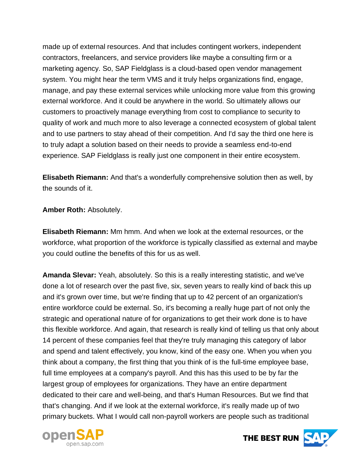made up of external resources. And that includes contingent workers, independent contractors, freelancers, and service providers like maybe a consulting firm or a marketing agency. So, SAP Fieldglass is a cloud-based open vendor management system. You might hear the term VMS and it truly helps organizations find, engage, manage, and pay these external services while unlocking more value from this growing external workforce. And it could be anywhere in the world. So ultimately allows our customers to proactively manage everything from cost to compliance to security to quality of work and much more to also leverage a connected ecosystem of global talent and to use partners to stay ahead of their competition. And I'd say the third one here is to truly adapt a solution based on their needs to provide a seamless end-to-end experience. SAP Fieldglass is really just one component in their entire ecosystem.

**Elisabeth Riemann:** And that's a wonderfully comprehensive solution then as well, by the sounds of it.

**Amber Roth:** Absolutely.

**Elisabeth Riemann:** Mm hmm. And when we look at the external resources, or the workforce, what proportion of the workforce is typically classified as external and maybe you could outline the benefits of this for us as well.

**Amanda Slevar:** Yeah, absolutely. So this is a really interesting statistic, and we've done a lot of research over the past five, six, seven years to really kind of back this up and it's grown over time, but we're finding that up to 42 percent of an organization's entire workforce could be external. So, it's becoming a really huge part of not only the strategic and operational nature of for organizations to get their work done is to have this flexible workforce. And again, that research is really kind of telling us that only about 14 percent of these companies feel that they're truly managing this category of labor and spend and talent effectively, you know, kind of the easy one. When you when you think about a company, the first thing that you think of is the full-time employee base, full time employees at a company's payroll. And this has this used to be by far the largest group of employees for organizations. They have an entire department dedicated to their care and well-being, and that's Human Resources. But we find that that's changing. And if we look at the external workforce, it's really made up of two primary buckets. What I would call non-payroll workers are people such as traditional



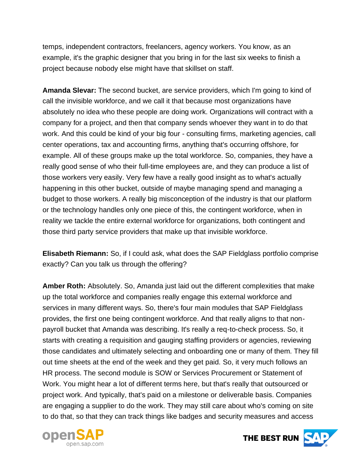temps, independent contractors, freelancers, agency workers. You know, as an example, it's the graphic designer that you bring in for the last six weeks to finish a project because nobody else might have that skillset on staff.

**Amanda Slevar:** The second bucket, are service providers, which I'm going to kind of call the invisible workforce, and we call it that because most organizations have absolutely no idea who these people are doing work. Organizations will contract with a company for a project, and then that company sends whoever they want in to do that work. And this could be kind of your big four - consulting firms, marketing agencies, call center operations, tax and accounting firms, anything that's occurring offshore, for example. All of these groups make up the total workforce. So, companies, they have a really good sense of who their full-time employees are, and they can produce a list of those workers very easily. Very few have a really good insight as to what's actually happening in this other bucket, outside of maybe managing spend and managing a budget to those workers. A really big misconception of the industry is that our platform or the technology handles only one piece of this, the contingent workforce, when in reality we tackle the entire external workforce for organizations, both contingent and those third party service providers that make up that invisible workforce.

**Elisabeth Riemann:** So, if I could ask, what does the SAP Fieldglass portfolio comprise exactly? Can you talk us through the offering?

**Amber Roth:** Absolutely. So, Amanda just laid out the different complexities that make up the total workforce and companies really engage this external workforce and services in many different ways. So, there's four main modules that SAP Fieldglass provides, the first one being contingent workforce. And that really aligns to that nonpayroll bucket that Amanda was describing. It's really a req-to-check process. So, it starts with creating a requisition and gauging staffing providers or agencies, reviewing those candidates and ultimately selecting and onboarding one or many of them. They fill out time sheets at the end of the week and they get paid. So, it very much follows an HR process. The second module is SOW or Services Procurement or Statement of Work. You might hear a lot of different terms here, but that's really that outsourced or project work. And typically, that's paid on a milestone or deliverable basis. Companies are engaging a supplier to do the work. They may still care about who's coming on site to do that, so that they can track things like badges and security measures and access



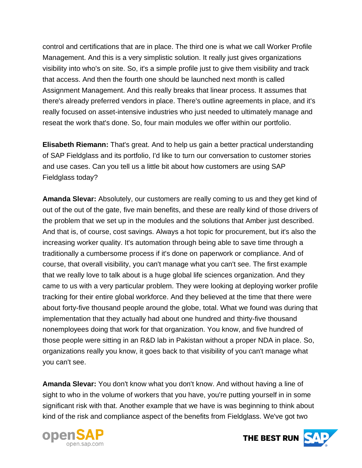control and certifications that are in place. The third one is what we call Worker Profile Management. And this is a very simplistic solution. It really just gives organizations visibility into who's on site. So, it's a simple profile just to give them visibility and track that access. And then the fourth one should be launched next month is called Assignment Management. And this really breaks that linear process. It assumes that there's already preferred vendors in place. There's outline agreements in place, and it's really focused on asset-intensive industries who just needed to ultimately manage and reseat the work that's done. So, four main modules we offer within our portfolio.

**Elisabeth Riemann:** That's great. And to help us gain a better practical understanding of SAP Fieldglass and its portfolio, I'd like to turn our conversation to customer stories and use cases. Can you tell us a little bit about how customers are using SAP Fieldglass today?

**Amanda Slevar:** Absolutely, our customers are really coming to us and they get kind of out of the out of the gate, five main benefits, and these are really kind of those drivers of the problem that we set up in the modules and the solutions that Amber just described. And that is, of course, cost savings. Always a hot topic for procurement, but it's also the increasing worker quality. It's automation through being able to save time through a traditionally a cumbersome process if it's done on paperwork or compliance. And of course, that overall visibility, you can't manage what you can't see. The first example that we really love to talk about is a huge global life sciences organization. And they came to us with a very particular problem. They were looking at deploying worker profile tracking for their entire global workforce. And they believed at the time that there were about forty-five thousand people around the globe, total. What we found was during that implementation that they actually had about one hundred and thirty-five thousand nonemployees doing that work for that organization. You know, and five hundred of those people were sitting in an R&D lab in Pakistan without a proper NDA in place. So, organizations really you know, it goes back to that visibility of you can't manage what you can't see.

**Amanda Slevar:** You don't know what you don't know. And without having a line of sight to who in the volume of workers that you have, you're putting yourself in in some significant risk with that. Another example that we have is was beginning to think about kind of the risk and compliance aspect of the benefits from Fieldglass. We've got two



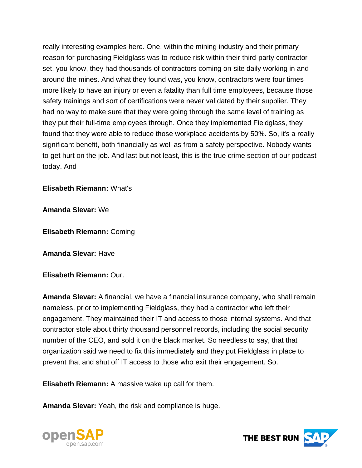really interesting examples here. One, within the mining industry and their primary reason for purchasing Fieldglass was to reduce risk within their third-party contractor set, you know, they had thousands of contractors coming on site daily working in and around the mines. And what they found was, you know, contractors were four times more likely to have an injury or even a fatality than full time employees, because those safety trainings and sort of certifications were never validated by their supplier. They had no way to make sure that they were going through the same level of training as they put their full-time employees through. Once they implemented Fieldglass, they found that they were able to reduce those workplace accidents by 50%. So, it's a really significant benefit, both financially as well as from a safety perspective. Nobody wants to get hurt on the job. And last but not least, this is the true crime section of our podcast today. And

#### **Elisabeth Riemann:** What's

**Amanda Slevar:** We

**Elisabeth Riemann:** Coming

**Amanda Slevar:** Have

**Elisabeth Riemann:** Our.

**Amanda Slevar:** A financial, we have a financial insurance company, who shall remain nameless, prior to implementing Fieldglass, they had a contractor who left their engagement. They maintained their IT and access to those internal systems. And that contractor stole about thirty thousand personnel records, including the social security number of the CEO, and sold it on the black market. So needless to say, that that organization said we need to fix this immediately and they put Fieldglass in place to prevent that and shut off IT access to those who exit their engagement. So.

**Elisabeth Riemann:** A massive wake up call for them.

**Amanda Slevar:** Yeah, the risk and compliance is huge.



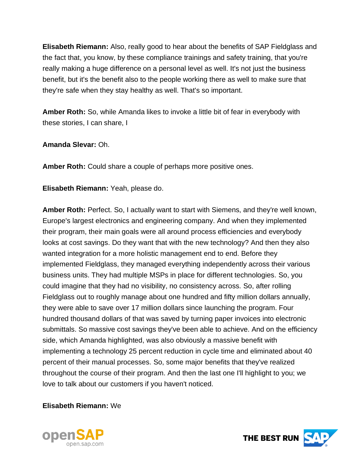**Elisabeth Riemann:** Also, really good to hear about the benefits of SAP Fieldglass and the fact that, you know, by these compliance trainings and safety training, that you're really making a huge difference on a personal level as well. It's not just the business benefit, but it's the benefit also to the people working there as well to make sure that they're safe when they stay healthy as well. That's so important.

**Amber Roth:** So, while Amanda likes to invoke a little bit of fear in everybody with these stories, I can share, I

**Amanda Slevar:** Oh.

**Amber Roth:** Could share a couple of perhaps more positive ones.

**Elisabeth Riemann:** Yeah, please do.

**Amber Roth:** Perfect. So, I actually want to start with Siemens, and they're well known, Europe's largest electronics and engineering company. And when they implemented their program, their main goals were all around process efficiencies and everybody looks at cost savings. Do they want that with the new technology? And then they also wanted integration for a more holistic management end to end. Before they implemented Fieldglass, they managed everything independently across their various business units. They had multiple MSPs in place for different technologies. So, you could imagine that they had no visibility, no consistency across. So, after rolling Fieldglass out to roughly manage about one hundred and fifty million dollars annually, they were able to save over 17 million dollars since launching the program. Four hundred thousand dollars of that was saved by turning paper invoices into electronic submittals. So massive cost savings they've been able to achieve. And on the efficiency side, which Amanda highlighted, was also obviously a massive benefit with implementing a technology 25 percent reduction in cycle time and eliminated about 40 percent of their manual processes. So, some major benefits that they've realized throughout the course of their program. And then the last one I'll highlight to you; we love to talk about our customers if you haven't noticed.

**Elisabeth Riemann:** We



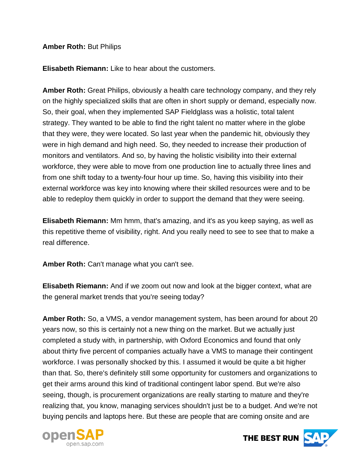#### **Amber Roth:** But Philips

**Elisabeth Riemann:** Like to hear about the customers.

**Amber Roth:** Great Philips, obviously a health care technology company, and they rely on the highly specialized skills that are often in short supply or demand, especially now. So, their goal, when they implemented SAP Fieldglass was a holistic, total talent strategy. They wanted to be able to find the right talent no matter where in the globe that they were, they were located. So last year when the pandemic hit, obviously they were in high demand and high need. So, they needed to increase their production of monitors and ventilators. And so, by having the holistic visibility into their external workforce, they were able to move from one production line to actually three lines and from one shift today to a twenty-four hour up time. So, having this visibility into their external workforce was key into knowing where their skilled resources were and to be able to redeploy them quickly in order to support the demand that they were seeing.

**Elisabeth Riemann:** Mm hmm, that's amazing, and it's as you keep saying, as well as this repetitive theme of visibility, right. And you really need to see to see that to make a real difference.

**Amber Roth:** Can't manage what you can't see.

**Elisabeth Riemann:** And if we zoom out now and look at the bigger context, what are the general market trends that you're seeing today?

**Amber Roth:** So, a VMS, a vendor management system, has been around for about 20 years now, so this is certainly not a new thing on the market. But we actually just completed a study with, in partnership, with Oxford Economics and found that only about thirty five percent of companies actually have a VMS to manage their contingent workforce. I was personally shocked by this. I assumed it would be quite a bit higher than that. So, there's definitely still some opportunity for customers and organizations to get their arms around this kind of traditional contingent labor spend. But we're also seeing, though, is procurement organizations are really starting to mature and they're realizing that, you know, managing services shouldn't just be to a budget. And we're not buying pencils and laptops here. But these are people that are coming onsite and are



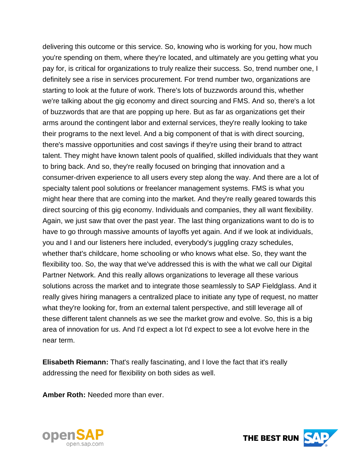delivering this outcome or this service. So, knowing who is working for you, how much you're spending on them, where they're located, and ultimately are you getting what you pay for, is critical for organizations to truly realize their success. So, trend number one, I definitely see a rise in services procurement. For trend number two, organizations are starting to look at the future of work. There's lots of buzzwords around this, whether we're talking about the gig economy and direct sourcing and FMS. And so, there's a lot of buzzwords that are that are popping up here. But as far as organizations get their arms around the contingent labor and external services, they're really looking to take their programs to the next level. And a big component of that is with direct sourcing, there's massive opportunities and cost savings if they're using their brand to attract talent. They might have known talent pools of qualified, skilled individuals that they want to bring back. And so, they're really focused on bringing that innovation and a consumer-driven experience to all users every step along the way. And there are a lot of specialty talent pool solutions or freelancer management systems. FMS is what you might hear there that are coming into the market. And they're really geared towards this direct sourcing of this gig economy. Individuals and companies, they all want flexibility. Again, we just saw that over the past year. The last thing organizations want to do is to have to go through massive amounts of layoffs yet again. And if we look at individuals, you and I and our listeners here included, everybody's juggling crazy schedules, whether that's childcare, home schooling or who knows what else. So, they want the flexibility too. So, the way that we've addressed this is with the what we call our Digital Partner Network. And this really allows organizations to leverage all these various solutions across the market and to integrate those seamlessly to SAP Fieldglass. And it really gives hiring managers a centralized place to initiate any type of request, no matter what they're looking for, from an external talent perspective, and still leverage all of these different talent channels as we see the market grow and evolve. So, this is a big area of innovation for us. And I'd expect a lot I'd expect to see a lot evolve here in the near term.

**Elisabeth Riemann:** That's really fascinating, and I love the fact that it's really addressing the need for flexibility on both sides as well.

**Amber Roth:** Needed more than ever.



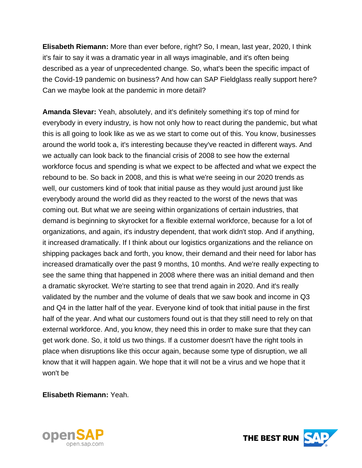**Elisabeth Riemann:** More than ever before, right? So, I mean, last year, 2020, I think it's fair to say it was a dramatic year in all ways imaginable, and it's often being described as a year of unprecedented change. So, what's been the specific impact of the Covid-19 pandemic on business? And how can SAP Fieldglass really support here? Can we maybe look at the pandemic in more detail?

**Amanda Slevar:** Yeah, absolutely, and it's definitely something it's top of mind for everybody in every industry, is how not only how to react during the pandemic, but what this is all going to look like as we as we start to come out of this. You know, businesses around the world took a, it's interesting because they've reacted in different ways. And we actually can look back to the financial crisis of 2008 to see how the external workforce focus and spending is what we expect to be affected and what we expect the rebound to be. So back in 2008, and this is what we're seeing in our 2020 trends as well, our customers kind of took that initial pause as they would just around just like everybody around the world did as they reacted to the worst of the news that was coming out. But what we are seeing within organizations of certain industries, that demand is beginning to skyrocket for a flexible external workforce, because for a lot of organizations, and again, it's industry dependent, that work didn't stop. And if anything, it increased dramatically. If I think about our logistics organizations and the reliance on shipping packages back and forth, you know, their demand and their need for labor has increased dramatically over the past 9 months, 10 months. And we're really expecting to see the same thing that happened in 2008 where there was an initial demand and then a dramatic skyrocket. We're starting to see that trend again in 2020. And it's really validated by the number and the volume of deals that we saw book and income in Q3 and Q4 in the latter half of the year. Everyone kind of took that initial pause in the first half of the year. And what our customers found out is that they still need to rely on that external workforce. And, you know, they need this in order to make sure that they can get work done. So, it told us two things. If a customer doesn't have the right tools in place when disruptions like this occur again, because some type of disruption, we all know that it will happen again. We hope that it will not be a virus and we hope that it won't be

**Elisabeth Riemann:** Yeah.



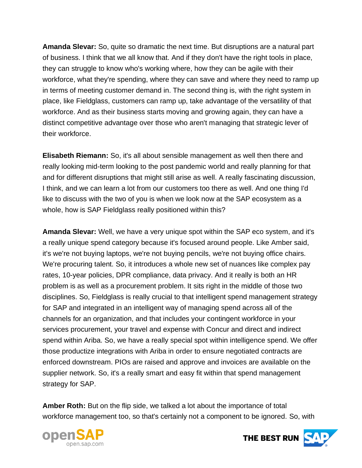**Amanda Slevar:** So, quite so dramatic the next time. But disruptions are a natural part of business. I think that we all know that. And if they don't have the right tools in place, they can struggle to know who's working where, how they can be agile with their workforce, what they're spending, where they can save and where they need to ramp up in terms of meeting customer demand in. The second thing is, with the right system in place, like Fieldglass, customers can ramp up, take advantage of the versatility of that workforce. And as their business starts moving and growing again, they can have a distinct competitive advantage over those who aren't managing that strategic lever of their workforce.

**Elisabeth Riemann:** So, it's all about sensible management as well then there and really looking mid-term looking to the post pandemic world and really planning for that and for different disruptions that might still arise as well. A really fascinating discussion, I think, and we can learn a lot from our customers too there as well. And one thing I'd like to discuss with the two of you is when we look now at the SAP ecosystem as a whole, how is SAP Fieldglass really positioned within this?

**Amanda Slevar:** Well, we have a very unique spot within the SAP eco system, and it's a really unique spend category because it's focused around people. Like Amber said, it's we're not buying laptops, we're not buying pencils, we're not buying office chairs. We're procuring talent. So, it introduces a whole new set of nuances like complex pay rates, 10-year policies, DPR compliance, data privacy. And it really is both an HR problem is as well as a procurement problem. It sits right in the middle of those two disciplines. So, Fieldglass is really crucial to that intelligent spend management strategy for SAP and integrated in an intelligent way of managing spend across all of the channels for an organization, and that includes your contingent workforce in your services procurement, your travel and expense with Concur and direct and indirect spend within Ariba. So, we have a really special spot within intelligence spend. We offer those productize integrations with Ariba in order to ensure negotiated contracts are enforced downstream. PIOs are raised and approve and invoices are available on the supplier network. So, it's a really smart and easy fit within that spend management strategy for SAP.

**Amber Roth:** But on the flip side, we talked a lot about the importance of total workforce management too, so that's certainly not a component to be ignored. So, with



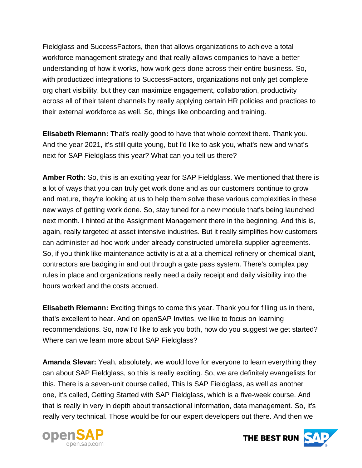Fieldglass and SuccessFactors, then that allows organizations to achieve a total workforce management strategy and that really allows companies to have a better understanding of how it works, how work gets done across their entire business. So, with productized integrations to SuccessFactors, organizations not only get complete org chart visibility, but they can maximize engagement, collaboration, productivity across all of their talent channels by really applying certain HR policies and practices to their external workforce as well. So, things like onboarding and training.

**Elisabeth Riemann:** That's really good to have that whole context there. Thank you. And the year 2021, it's still quite young, but I'd like to ask you, what's new and what's next for SAP Fieldglass this year? What can you tell us there?

**Amber Roth:** So, this is an exciting year for SAP Fieldglass. We mentioned that there is a lot of ways that you can truly get work done and as our customers continue to grow and mature, they're looking at us to help them solve these various complexities in these new ways of getting work done. So, stay tuned for a new module that's being launched next month. I hinted at the Assignment Management there in the beginning. And this is, again, really targeted at asset intensive industries. But it really simplifies how customers can administer ad-hoc work under already constructed umbrella supplier agreements. So, if you think like maintenance activity is at a at a chemical refinery or chemical plant, contractors are badging in and out through a gate pass system. There's complex pay rules in place and organizations really need a daily receipt and daily visibility into the hours worked and the costs accrued.

**Elisabeth Riemann:** Exciting things to come this year. Thank you for filling us in there, that's excellent to hear. And on openSAP Invites, we like to focus on learning recommendations. So, now I'd like to ask you both, how do you suggest we get started? Where can we learn more about SAP Fieldglass?

**Amanda Slevar:** Yeah, absolutely, we would love for everyone to learn everything they can about SAP Fieldglass, so this is really exciting. So, we are definitely evangelists for this. There is a seven-unit course called, This Is SAP Fieldglass, as well as another one, it's called, Getting Started with SAP Fieldglass, which is a five-week course. And that is really in very in depth about transactional information, data management. So, it's really very technical. Those would be for our expert developers out there. And then we



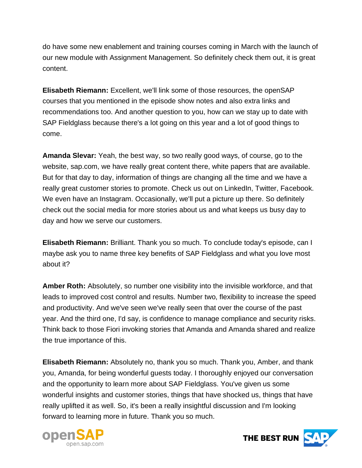do have some new enablement and training courses coming in March with the launch of our new module with Assignment Management. So definitely check them out, it is great content.

**Elisabeth Riemann:** Excellent, we'll link some of those resources, the openSAP courses that you mentioned in the episode show notes and also extra links and recommendations too. And another question to you, how can we stay up to date with SAP Fieldglass because there's a lot going on this year and a lot of good things to come.

**Amanda Slevar:** Yeah, the best way, so two really good ways, of course, go to the website, sap.com, we have really great content there, white papers that are available. But for that day to day, information of things are changing all the time and we have a really great customer stories to promote. Check us out on LinkedIn, Twitter, Facebook. We even have an Instagram. Occasionally, we'll put a picture up there. So definitely check out the social media for more stories about us and what keeps us busy day to day and how we serve our customers.

**Elisabeth Riemann:** Brilliant. Thank you so much. To conclude today's episode, can I maybe ask you to name three key benefits of SAP Fieldglass and what you love most about it?

**Amber Roth:** Absolutely, so number one visibility into the invisible workforce, and that leads to improved cost control and results. Number two, flexibility to increase the speed and productivity. And we've seen we've really seen that over the course of the past year. And the third one, I'd say, is confidence to manage compliance and security risks. Think back to those Fiori invoking stories that Amanda and Amanda shared and realize the true importance of this.

**Elisabeth Riemann:** Absolutely no, thank you so much. Thank you, Amber, and thank you, Amanda, for being wonderful guests today. I thoroughly enjoyed our conversation and the opportunity to learn more about SAP Fieldglass. You've given us some wonderful insights and customer stories, things that have shocked us, things that have really uplifted it as well. So, it's been a really insightful discussion and I'm looking forward to learning more in future. Thank you so much.